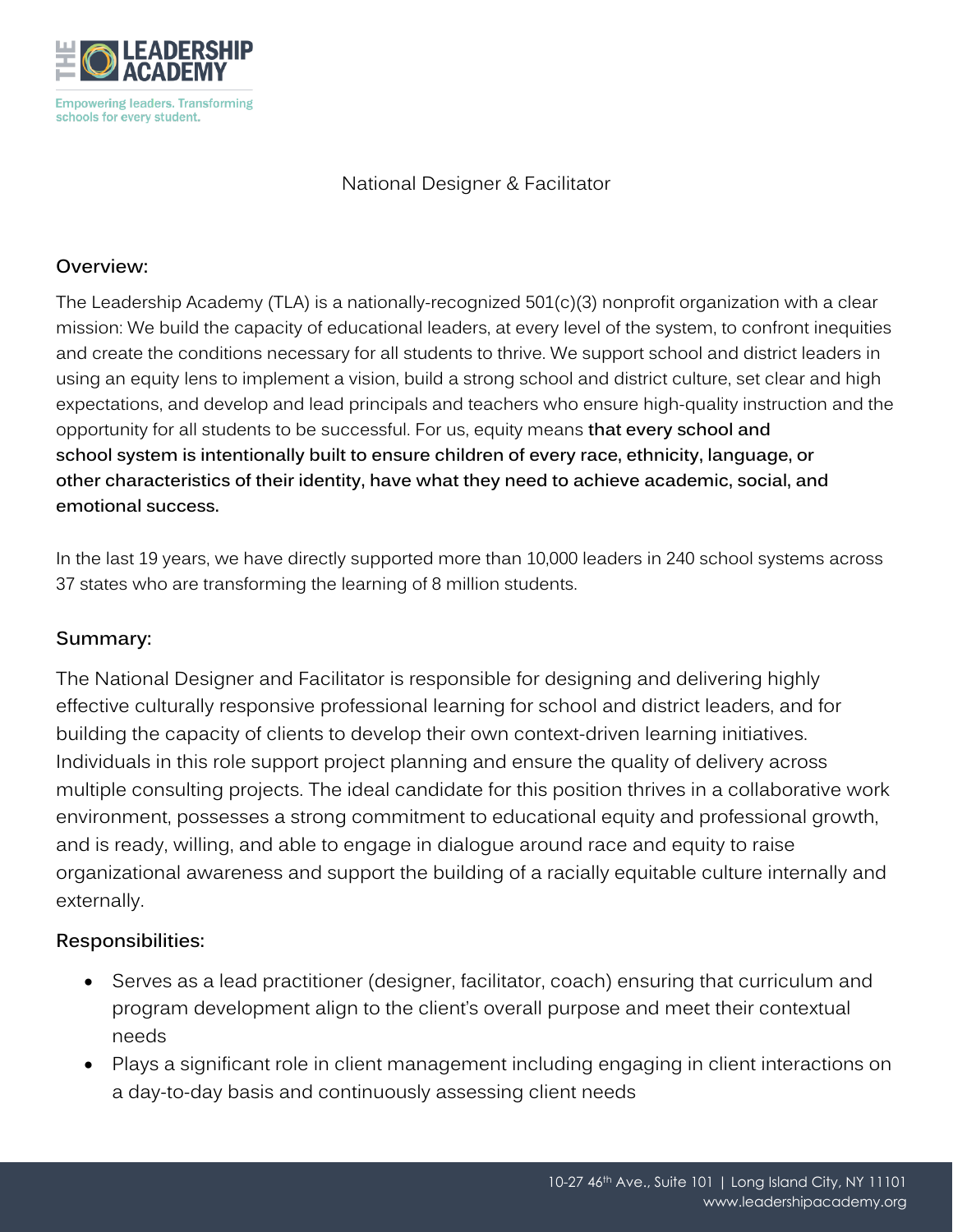

National Designer & Facilitator

## **Overview:**

The Leadership Academy (TLA) is a nationally-recognized 501(c)(3) nonprofit organization with a clear mission: We build the capacity of educational leaders, at every level of the system, to confront inequities and create the conditions necessary for all students to thrive. We support school and district leaders in using an equity lens to implement a vision, build a strong school and district culture, set clear and high expectations, and develop and lead principals and teachers who ensure high-quality instruction and the opportunity for all students to be successful. For us, equity means **that every school and school system is intentionally built to ensure children of every race, ethnicity, language, or other characteristics of their identity, have what they need to achieve academic, social, and emotional success.** 

In the last 19 years, we have directly supported more than 10,000 leaders in 240 school systems across 37 states who are transforming the learning of 8 million students.

# **Summary:**

The National Designer and Facilitator is responsible for designing and delivering highly effective culturally responsive professional learning for school and district leaders, and for building the capacity of clients to develop their own context-driven learning initiatives. Individuals in this role support project planning and ensure the quality of delivery across multiple consulting projects. The ideal candidate for this position thrives in a collaborative work environment, possesses a strong commitment to educational equity and professional growth, and is ready, willing, and able to engage in dialogue around race and equity to raise organizational awareness and support the building of a racially equitable culture internally and externally.

# **Responsibilities:**

- Serves as a lead practitioner (designer, facilitator, coach) ensuring that curriculum and program development align to the client's overall purpose and meet their contextual needs
- Plays a significant role in client management including engaging in client interactions on a day-to-day basis and continuously assessing client needs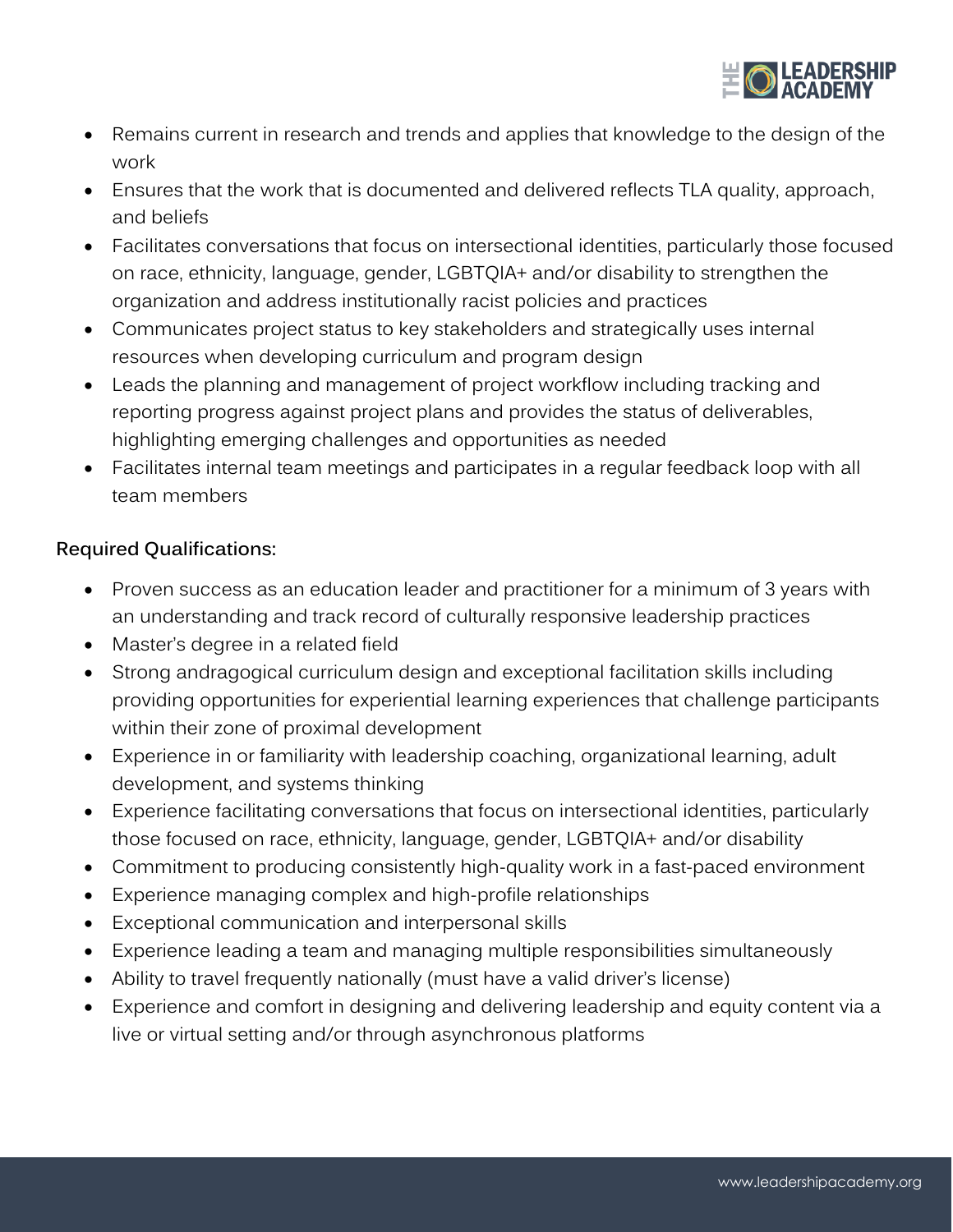

- Remains current in research and trends and applies that knowledge to the design of the work
- Ensures that the work that is documented and delivered reflects TLA quality, approach, and beliefs
- Facilitates conversations that focus on intersectional identities, particularly those focused on race, ethnicity, language, gender, LGBTQIA+ and/or disability to strengthen the organization and address institutionally racist policies and practices
- Communicates project status to key stakeholders and strategically uses internal resources when developing curriculum and program design
- Leads the planning and management of project workflow including tracking and reporting progress against project plans and provides the status of deliverables, highlighting emerging challenges and opportunities as needed
- Facilitates internal team meetings and participates in a regular feedback loop with all team members

# **Required Qualifications:**

- Proven success as an education leader and practitioner for a minimum of 3 years with an understanding and track record of culturally responsive leadership practices
- Master's degree in a related field
- Strong andragogical curriculum design and exceptional facilitation skills including providing opportunities for experiential learning experiences that challenge participants within their zone of proximal development
- Experience in or familiarity with leadership coaching, organizational learning, adult development, and systems thinking
- Experience facilitating conversations that focus on intersectional identities, particularly those focused on race, ethnicity, language, gender, LGBTQIA+ and/or disability
- Commitment to producing consistently high-quality work in a fast-paced environment
- Experience managing complex and high-profile relationships
- Exceptional communication and interpersonal skills
- Experience leading a team and managing multiple responsibilities simultaneously
- Ability to travel frequently nationally (must have a valid driver's license)
- Experience and comfort in designing and delivering leadership and equity content via a live or virtual setting and/or through asynchronous platforms